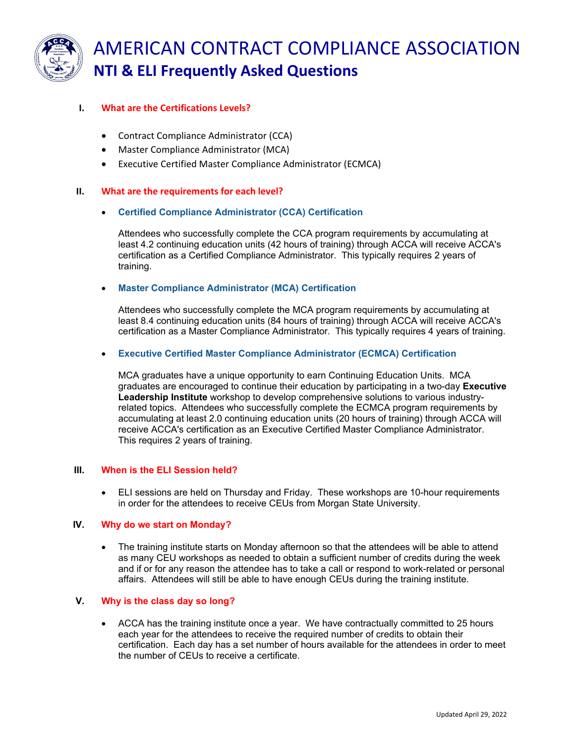

# AMERICAN CONTRACT COMPLIANCE ASSOCIATION **NTI & ELI Frequently Asked Questions**

# **I. What are the Certifications Levels?**

- Contract Compliance Administrator (CCA)
- Master Compliance Administrator (MCA)
- Executive Certified Master Compliance Administrator (ECMCA)

# **II. What are the requirements for each level?**

# • **Certified Compliance Administrator (CCA) Certification**

Attendees who successfully complete the CCA program requirements by accumulating at least 4.2 continuing education units (42 hours of training) through ACCA will receive ACCA's certification as a Certified Compliance Administrator. This typically requires 2 years of training.

#### • **Master Compliance Administrator (MCA) Certification**

Attendees who successfully complete the MCA program requirements by accumulating at least 8.4 continuing education units (84 hours of training) through ACCA will receive ACCA's certification as a Master Compliance Administrator. This typically requires 4 years of training.

# • **Executive Certified Master Compliance Administrator (ECMCA) Certification**

MCA graduates have a unique opportunity to earn Continuing Education Units. MCA graduates are encouraged to continue their education by participating in a two-day **Executive Leadership Institute** workshop to develop comprehensive solutions to various industryrelated topics. Attendees who successfully complete the ECMCA program requirements by accumulating at least 2.0 continuing education units (20 hours of training) through ACCA will receive ACCA's certification as an Executive Certified Master Compliance Administrator. This requires 2 years of training.

# **III. When is the ELI Session held?**

• ELI sessions are held on Thursday and Friday. These workshops are 10-hour requirements in order for the attendees to receive CEUs from Morgan State University.

#### **IV. Why do we start on Monday?**

• The training institute starts on Monday afternoon so that the attendees will be able to attend as many CEU workshops as needed to obtain a sufficient number of credits during the week and if or for any reason the attendee has to take a call or respond to work-related or personal affairs. Attendees will still be able to have enough CEUs during the training institute.

#### **V. Why is the class day so long?**

• ACCA has the training institute once a year. We have contractually committed to 25 hours each year for the attendees to receive the required number of credits to obtain their certification. Each day has a set number of hours available for the attendees in order to meet the number of CEUs to receive a certificate.